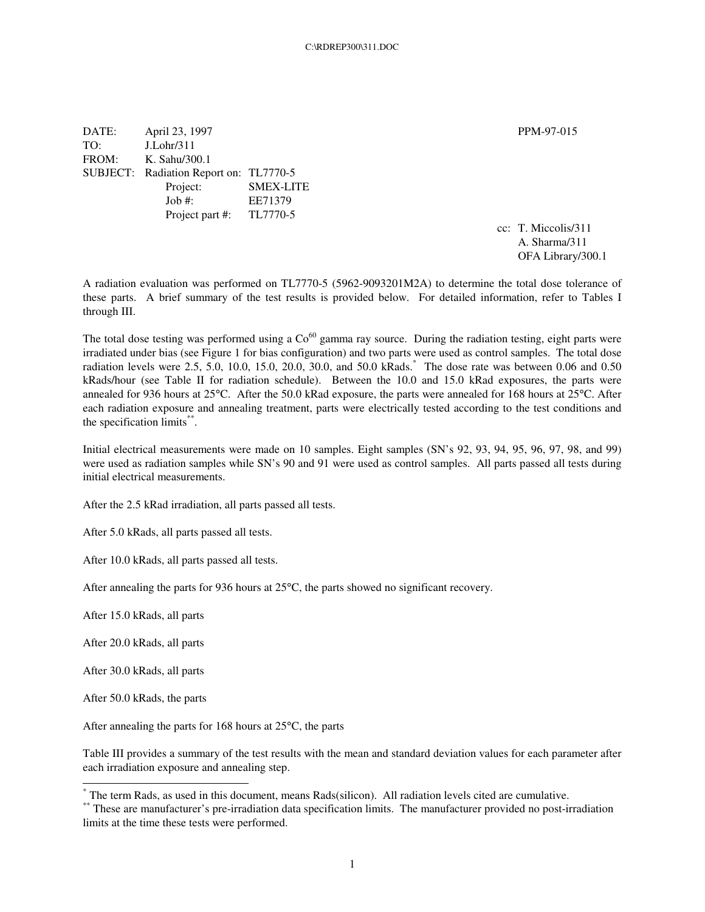DATE: April 23, 1997 PPM-97-015 TO: J.Lohr/311 FROM: K. Sahu/300.1 SUBJECT: Radiation Report on: TL7770-5 Project: SMEX-LITE Job #: EE71379 Project part #: TL7770-5

cc: T. Miccolis/311 A. Sharma/311 OFA Library/300.1

A radiation evaluation was performed on TL7770-5 (5962-9093201M2A) to determine the total dose tolerance of these parts. A brief summary of the test results is provided below. For detailed information, refer to Tables I through III.

The total dose testing was performed using a  $Co^{60}$  gamma ray source. During the radiation testing, eight parts were irradiated under bias (see Figure 1 for bias configuration) and two parts were used as control samples. The total dose radiation levels were 2.5, 5.0, 10.0, 15.0, 20.0, 30.0, and 50.0 kRads. \* The dose rate was between 0.06 and 0.50 kRads/hour (see Table II for radiation schedule). Between the 10.0 and 15.0 kRad exposures, the parts were annealed for 936 hours at 25°C. After the 50.0 kRad exposure, the parts were annealed for 168 hours at 25°C. After each radiation exposure and annealing treatment, parts were electrically tested according to the test conditions and the specification limits\*\*.

Initial electrical measurements were made on 10 samples. Eight samples (SN's 92, 93, 94, 95, 96, 97, 98, and 99) were used as radiation samples while SN's 90 and 91 were used as control samples. All parts passed all tests during initial electrical measurements.

After the 2.5 kRad irradiation, all parts passed all tests.

After 5.0 kRads, all parts passed all tests.

After 10.0 kRads, all parts passed all tests.

After annealing the parts for 936 hours at 25°C, the parts showed no significant recovery.

After 15.0 kRads, all parts

After 20.0 kRads, all parts

After 30.0 kRads, all parts

After 50.0 kRads, the parts

After annealing the parts for 168 hours at 25°C, the parts

Table III provides a summary of the test results with the mean and standard deviation values for each parameter after each irradiation exposure and annealing step.

<sup>\*</sup> The term Rads, as used in this document, means Rads(silicon). All radiation levels cited are cumulative.

<sup>\*\*</sup> These are manufacturer's pre-irradiation data specification limits. The manufacturer provided no post-irradiation limits at the time these tests were performed.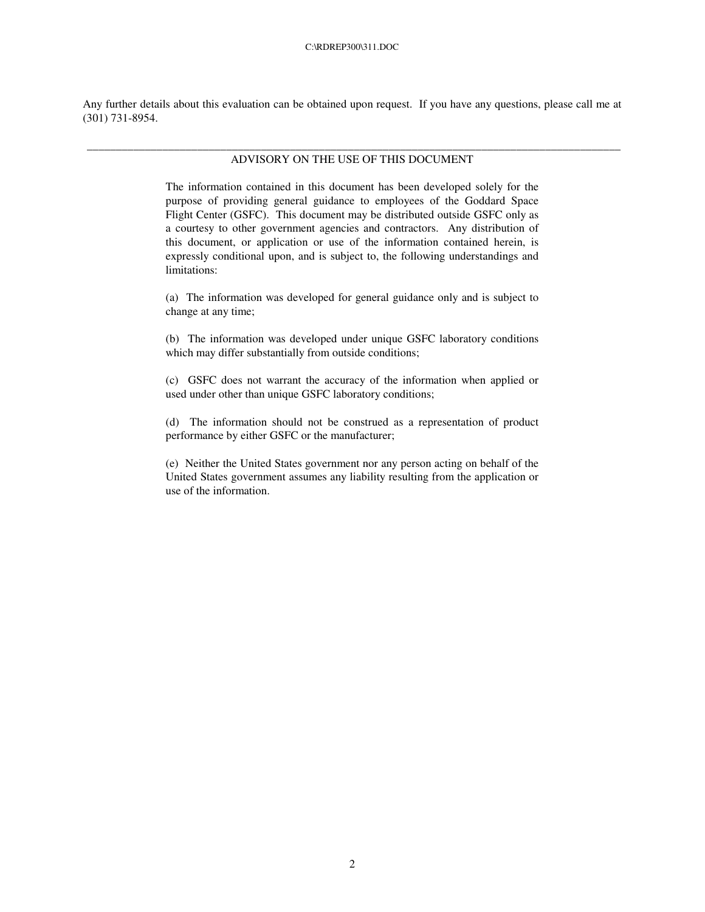Any further details about this evaluation can be obtained upon request. If you have any questions, please call me at (301) 731-8954.

## \_\_\_\_\_\_\_\_\_\_\_\_\_\_\_\_\_\_\_\_\_\_\_\_\_\_\_\_\_\_\_\_\_\_\_\_\_\_\_\_\_\_\_\_\_\_\_\_\_\_\_\_\_\_\_\_\_\_\_\_\_\_\_\_\_\_\_\_\_\_\_\_\_\_\_\_\_\_\_\_\_\_\_\_\_\_\_\_\_\_\_\_ ADVISORY ON THE USE OF THIS DOCUMENT

The information contained in this document has been developed solely for the purpose of providing general guidance to employees of the Goddard Space Flight Center (GSFC). This document may be distributed outside GSFC only as a courtesy to other government agencies and contractors. Any distribution of this document, or application or use of the information contained herein, is expressly conditional upon, and is subject to, the following understandings and limitations:

(a) The information was developed for general guidance only and is subject to change at any time;

(b) The information was developed under unique GSFC laboratory conditions which may differ substantially from outside conditions;

(c) GSFC does not warrant the accuracy of the information when applied or used under other than unique GSFC laboratory conditions;

(d) The information should not be construed as a representation of product performance by either GSFC or the manufacturer;

(e) Neither the United States government nor any person acting on behalf of the United States government assumes any liability resulting from the application or use of the information.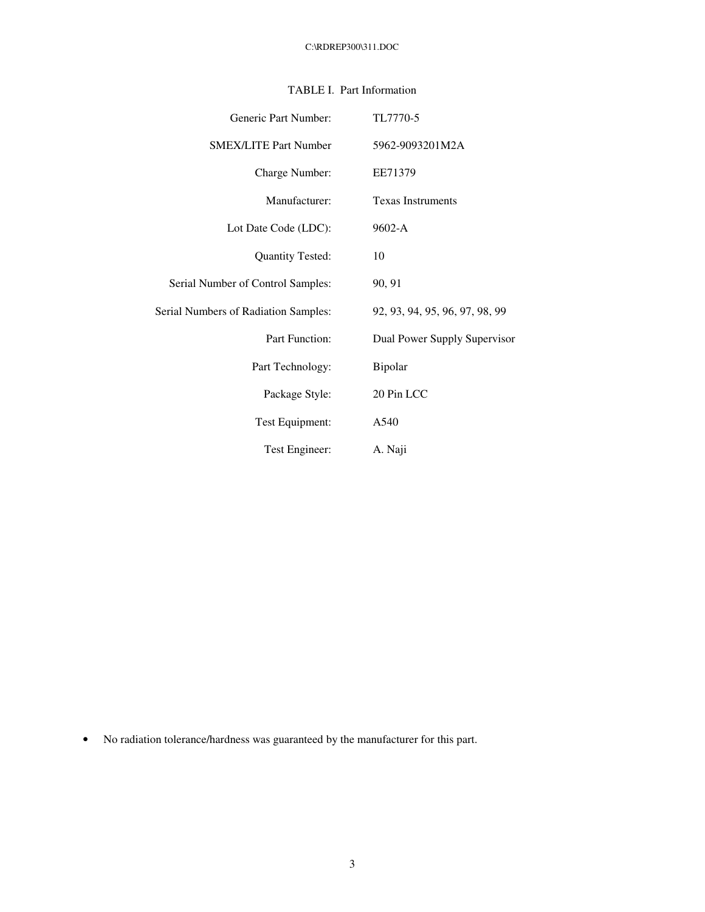| Generic Part Number:                 | TL7770-5                       |
|--------------------------------------|--------------------------------|
| <b>SMEX/LITE Part Number</b>         | 5962-9093201M2A                |
| Charge Number:                       | EE71379                        |
| Manufacturer:                        | <b>Texas Instruments</b>       |
| Lot Date Code (LDC):                 | 9602-A                         |
| <b>Quantity Tested:</b>              | 10                             |
| Serial Number of Control Samples:    | 90, 91                         |
| Serial Numbers of Radiation Samples: | 92, 93, 94, 95, 96, 97, 98, 99 |
| <b>Part Function:</b>                | Dual Power Supply Supervisor   |
| Part Technology:                     | Bipolar                        |
| Package Style:                       | 20 Pin LCC                     |
| Test Equipment:                      | A540                           |
| Test Engineer:                       | A. Naji                        |

## TABLE I. Part Information

• No radiation tolerance/hardness was guaranteed by the manufacturer for this part.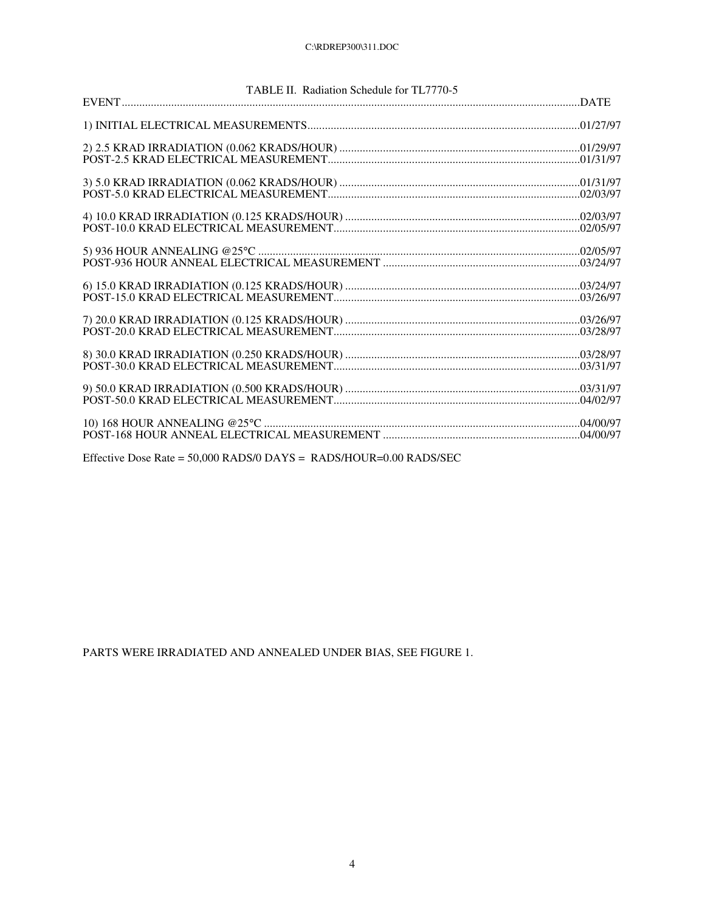| TABLE II. Radiation Schedule for TL7770-5 |
|-------------------------------------------|
|                                           |
|                                           |
|                                           |
|                                           |
|                                           |
|                                           |
|                                           |
|                                           |
|                                           |
|                                           |
|                                           |
|                                           |

Effective Dose Rate = 50,000 RADS/0 DAYS = RADS/HOUR=0.00 RADS/SEC

PARTS WERE IRRADIATED AND ANNEALED UNDER BIAS, SEE FIGURE 1.